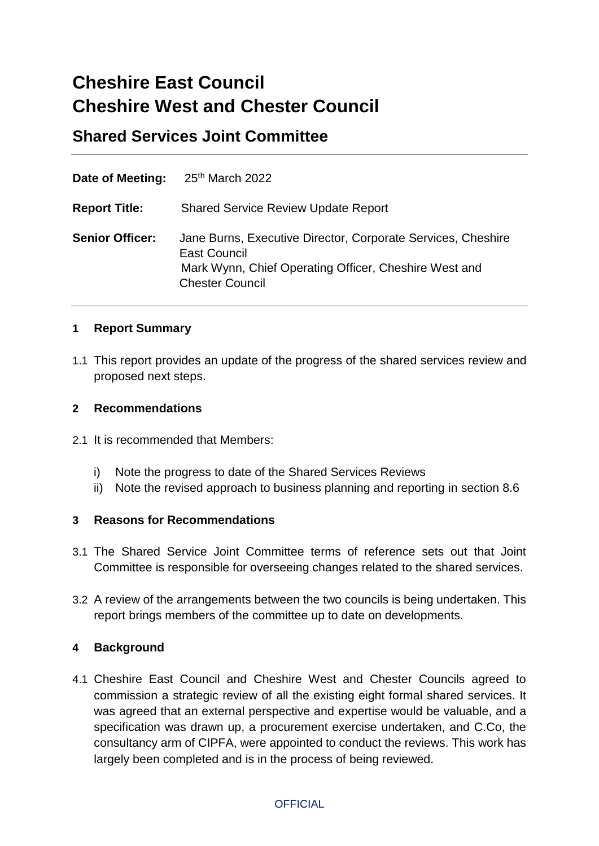# **Cheshire East Council Cheshire West and Chester Council**

**Shared Services Joint Committee**

| Date of Meeting:       | 25th March 2022                                                                                                                                                 |
|------------------------|-----------------------------------------------------------------------------------------------------------------------------------------------------------------|
| <b>Report Title:</b>   | <b>Shared Service Review Update Report</b>                                                                                                                      |
| <b>Senior Officer:</b> | Jane Burns, Executive Director, Corporate Services, Cheshire<br>East Council<br>Mark Wynn, Chief Operating Officer, Cheshire West and<br><b>Chester Council</b> |

# **1 Report Summary**

1.1 This report provides an update of the progress of the shared services review and proposed next steps.

# **2 Recommendations**

- 2.1 It is recommended that Members:
	- i) Note the progress to date of the Shared Services Reviews
	- ii) Note the revised approach to business planning and reporting in section 8.6

# **3 Reasons for Recommendations**

- 3.1 The Shared Service Joint Committee terms of reference sets out that Joint Committee is responsible for overseeing changes related to the shared services.
- 3.2 A review of the arrangements between the two councils is being undertaken. This report brings members of the committee up to date on developments.

# **4 Background**

4.1 Cheshire East Council and Cheshire West and Chester Councils agreed to commission a strategic review of all the existing eight formal shared services. It was agreed that an external perspective and expertise would be valuable, and a specification was drawn up, a procurement exercise undertaken, and C.Co, the consultancy arm of CIPFA, were appointed to conduct the reviews. This work has largely been completed and is in the process of being reviewed.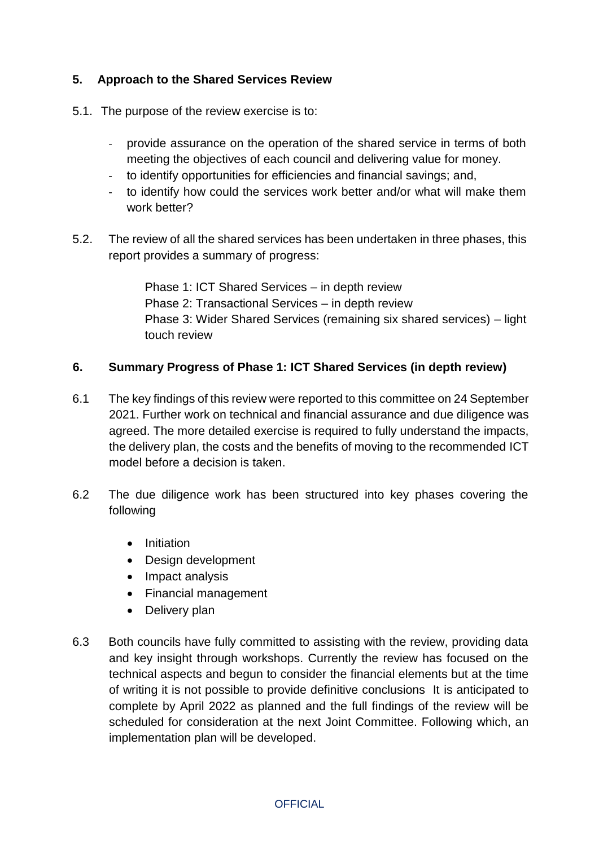# **5. Approach to the Shared Services Review**

- 5.1. The purpose of the review exercise is to:
	- provide assurance on the operation of the shared service in terms of both meeting the objectives of each council and delivering value for money.
	- to identify opportunities for efficiencies and financial savings; and,
	- to identify how could the services work better and/or what will make them work better?
- 5.2. The review of all the shared services has been undertaken in three phases, this report provides a summary of progress:

Phase 1: ICT Shared Services – in depth review Phase 2: Transactional Services – in depth review Phase 3: Wider Shared Services (remaining six shared services) – light touch review

# **6. Summary Progress of Phase 1: ICT Shared Services (in depth review)**

- 6.1 The key findings of this review were reported to this committee on 24 September 2021. Further work on technical and financial assurance and due diligence was agreed. The more detailed exercise is required to fully understand the impacts, the delivery plan, the costs and the benefits of moving to the recommended ICT model before a decision is taken.
- 6.2 The due diligence work has been structured into key phases covering the following
	- Initiation
	- Design development
	- Impact analysis
	- Financial management
	- Delivery plan
- 6.3 Both councils have fully committed to assisting with the review, providing data and key insight through workshops. Currently the review has focused on the technical aspects and begun to consider the financial elements but at the time of writing it is not possible to provide definitive conclusions It is anticipated to complete by April 2022 as planned and the full findings of the review will be scheduled for consideration at the next Joint Committee. Following which, an implementation plan will be developed.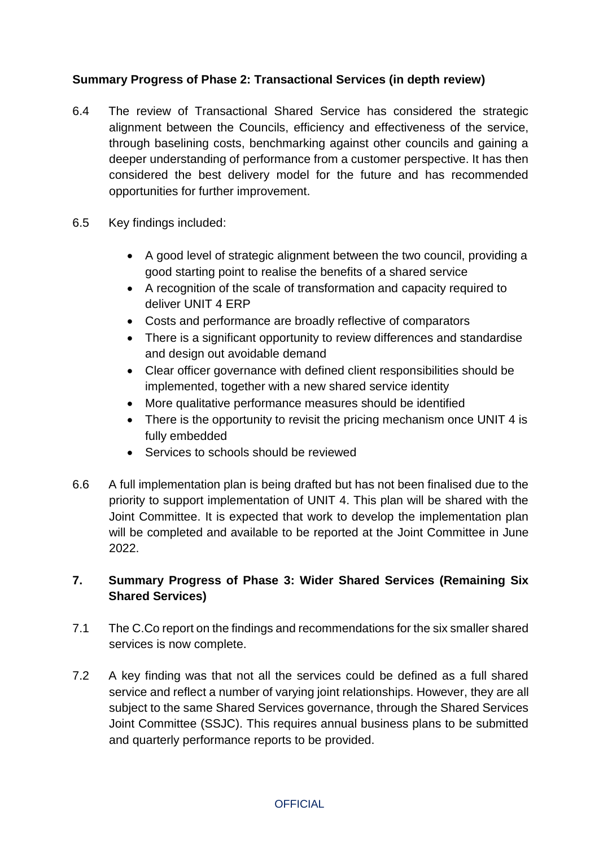# **Summary Progress of Phase 2: Transactional Services (in depth review)**

- 6.4 The review of Transactional Shared Service has considered the strategic alignment between the Councils, efficiency and effectiveness of the service, through baselining costs, benchmarking against other councils and gaining a deeper understanding of performance from a customer perspective. It has then considered the best delivery model for the future and has recommended opportunities for further improvement.
- 6.5 Key findings included:
	- A good level of strategic alignment between the two council, providing a good starting point to realise the benefits of a shared service
	- A recognition of the scale of transformation and capacity required to deliver UNIT 4 ERP
	- Costs and performance are broadly reflective of comparators
	- There is a significant opportunity to review differences and standardise and design out avoidable demand
	- Clear officer governance with defined client responsibilities should be implemented, together with a new shared service identity
	- More qualitative performance measures should be identified
	- There is the opportunity to revisit the pricing mechanism once UNIT 4 is fully embedded
	- Services to schools should be reviewed
- 6.6 A full implementation plan is being drafted but has not been finalised due to the priority to support implementation of UNIT 4. This plan will be shared with the Joint Committee. It is expected that work to develop the implementation plan will be completed and available to be reported at the Joint Committee in June 2022.

# **7. Summary Progress of Phase 3: Wider Shared Services (Remaining Six Shared Services)**

- 7.1 The C.Co report on the findings and recommendations for the six smaller shared services is now complete.
- 7.2 A key finding was that not all the services could be defined as a full shared service and reflect a number of varying joint relationships. However, they are all subject to the same Shared Services governance, through the Shared Services Joint Committee (SSJC). This requires annual business plans to be submitted and quarterly performance reports to be provided.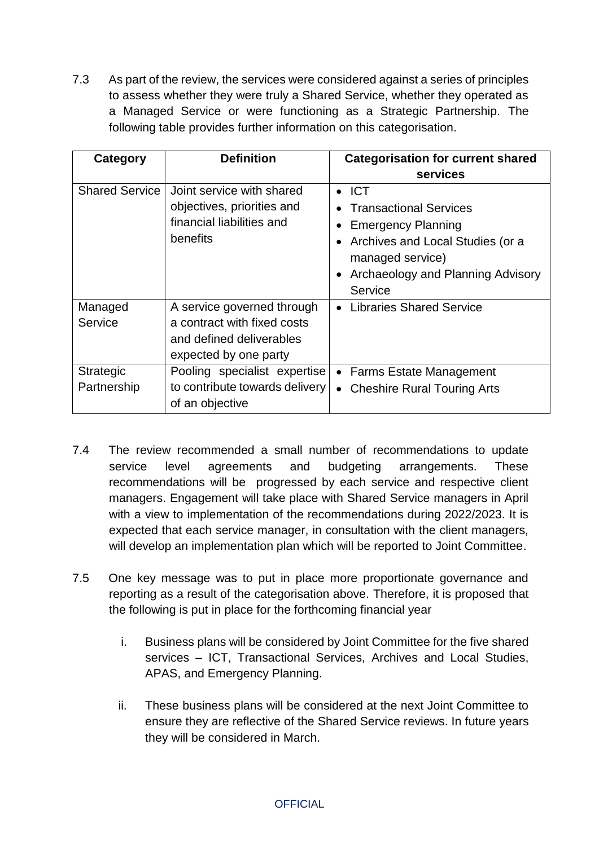7.3 As part of the review, the services were considered against a series of principles to assess whether they were truly a Shared Service, whether they operated as a Managed Service or were functioning as a Strategic Partnership. The following table provides further information on this categorisation.

| Category                        | <b>Definition</b>                                                                                              | <b>Categorisation for current shared</b>                                                                                                                                                                             |
|---------------------------------|----------------------------------------------------------------------------------------------------------------|----------------------------------------------------------------------------------------------------------------------------------------------------------------------------------------------------------------------|
|                                 |                                                                                                                | services                                                                                                                                                                                                             |
| <b>Shared Service</b>           | Joint service with shared<br>objectives, priorities and<br>financial liabilities and<br>benefits               | $\bullet$ ICT<br><b>Transactional Services</b><br><b>Emergency Planning</b><br>Archives and Local Studies (or a<br>$\bullet$<br>managed service)<br><b>Archaeology and Planning Advisory</b><br>$\bullet$<br>Service |
| Managed<br>Service              | A service governed through<br>a contract with fixed costs<br>and defined deliverables<br>expected by one party | <b>Libraries Shared Service</b>                                                                                                                                                                                      |
| <b>Strategic</b><br>Partnership | Pooling specialist expertise<br>to contribute towards delivery<br>of an objective                              | • Farms Estate Management<br><b>Cheshire Rural Touring Arts</b><br>$\bullet$                                                                                                                                         |

- 7.4 The review recommended a small number of recommendations to update service level agreements and budgeting arrangements. These recommendations will be progressed by each service and respective client managers. Engagement will take place with Shared Service managers in April with a view to implementation of the recommendations during 2022/2023. It is expected that each service manager, in consultation with the client managers, will develop an implementation plan which will be reported to Joint Committee.
- 7.5 One key message was to put in place more proportionate governance and reporting as a result of the categorisation above. Therefore, it is proposed that the following is put in place for the forthcoming financial year
	- i. Business plans will be considered by Joint Committee for the five shared services – ICT, Transactional Services, Archives and Local Studies, APAS, and Emergency Planning.
	- ii. These business plans will be considered at the next Joint Committee to ensure they are reflective of the Shared Service reviews. In future years they will be considered in March.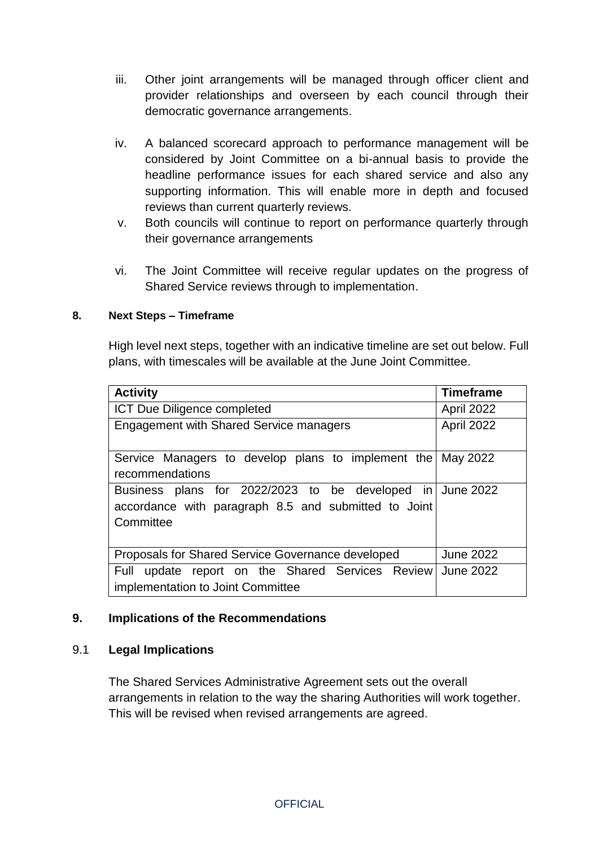- iii. Other joint arrangements will be managed through officer client and provider relationships and overseen by each council through their democratic governance arrangements.
- iv. A balanced scorecard approach to performance management will be considered by Joint Committee on a bi-annual basis to provide the headline performance issues for each shared service and also any supporting information. This will enable more in depth and focused reviews than current quarterly reviews.
- v. Both councils will continue to report on performance quarterly through their governance arrangements
- vi. The Joint Committee will receive regular updates on the progress of Shared Service reviews through to implementation.

# **8. Next Steps – Timeframe**

High level next steps, together with an indicative timeline are set out below. Full plans, with timescales will be available at the June Joint Committee.

| <b>Activity</b>                                                                                                                | <b>Timeframe</b> |
|--------------------------------------------------------------------------------------------------------------------------------|------------------|
| <b>ICT Due Diligence completed</b>                                                                                             | April 2022       |
| <b>Engagement with Shared Service managers</b>                                                                                 | April 2022       |
| Service Managers to develop plans to implement the May 2022<br>recommendations                                                 |                  |
| Business plans for 2022/2023 to be developed in June 2022<br>accordance with paragraph 8.5 and submitted to Joint<br>Committee |                  |
| Proposals for Shared Service Governance developed                                                                              | <b>June 2022</b> |
| Full update report on the Shared Services Review<br>implementation to Joint Committee                                          | <b>June 2022</b> |

# **9. Implications of the Recommendations**

# 9.1 **Legal Implications**

The Shared Services Administrative Agreement sets out the overall arrangements in relation to the way the sharing Authorities will work together. This will be revised when revised arrangements are agreed.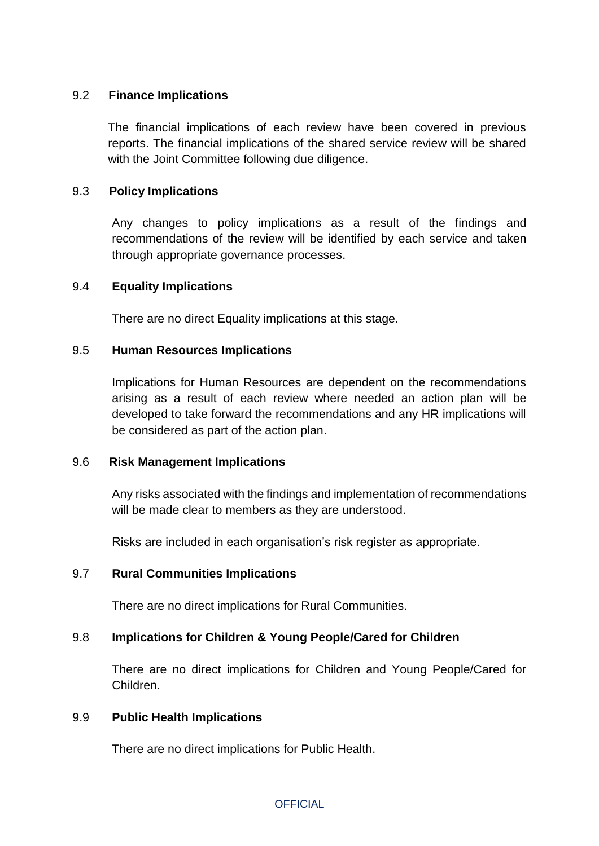# 9.2 **Finance Implications**

The financial implications of each review have been covered in previous reports. The financial implications of the shared service review will be shared with the Joint Committee following due diligence.

### 9.3 **Policy Implications**

Any changes to policy implications as a result of the findings and recommendations of the review will be identified by each service and taken through appropriate governance processes.

#### 9.4 **Equality Implications**

There are no direct Equality implications at this stage.

#### 9.5 **Human Resources Implications**

Implications for Human Resources are dependent on the recommendations arising as a result of each review where needed an action plan will be developed to take forward the recommendations and any HR implications will be considered as part of the action plan.

#### 9.6 **Risk Management Implications**

Any risks associated with the findings and implementation of recommendations will be made clear to members as they are understood.

Risks are included in each organisation's risk register as appropriate.

# 9.7 **Rural Communities Implications**

There are no direct implications for Rural Communities.

# 9.8 **Implications for Children & Young People/Cared for Children**

There are no direct implications for Children and Young People/Cared for Children.

#### 9.9 **Public Health Implications**

There are no direct implications for Public Health.